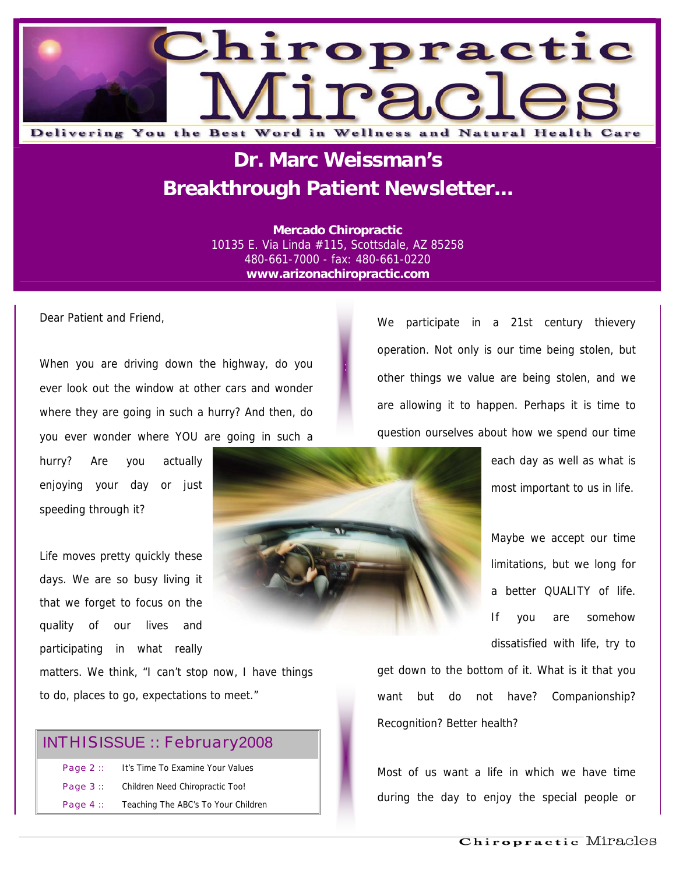

## **Dr. Marc Weissman's Breakthrough Patient Newsletter...**

**Mercado Chiropractic**  10135 E. Via Linda #115, Scottsdale, AZ 85258 480-661-7000 - fax: 480-661-0220 **www.arizonachiropractic.com**

Dear Patient and Friend,

When you are driving down the highway, do you ever look out the window at other cars and wonder where they are going in such a hurry? And then, do you ever wonder where YOU are going in such a

hurry? Are you actually enjoying your day or just speeding through it?

Life moves pretty quickly these days. We are so busy living it that we forget to focus on the quality of our lives and participating in what really

matters. We think, "I can't stop now, I have things to do, places to go, expectations to meet."

#### INTHISISSUE :: February2008

| Page $2::$ | It's Time To Examine Your Values    |
|------------|-------------------------------------|
| Page $3::$ | Children Need Chiropractic Too!     |
| Page $4::$ | Teaching The ABC's To Your Children |

We participate in a 21st century thievery operation. Not only is our time being stolen, but other things we value are being stolen, and we are allowing it to happen. Perhaps it is time to question ourselves about how we spend our time

> each day as well as what is most important to us in life.

> Maybe we accept our time limitations, but we long for a better QUALITY of life. If you are somehow dissatisfied with life, try to

get down to the bottom of it. What is it that you want but do not have? Companionship? Recognition? Better health?

Most of us want a life in which we have time during the day to enjoy the special people or

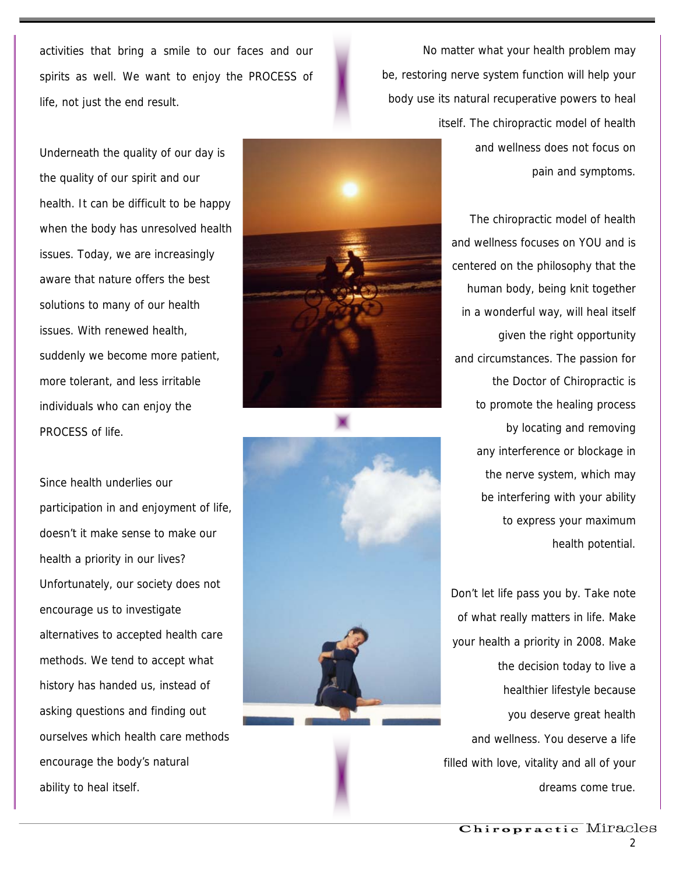activities that bring a smile to our faces and our spirits as well. We want to enjoy the PROCESS of life, not just the end result.

Underneath the quality of our day is the quality of our spirit and our health. It can be difficult to be happy when the body has unresolved health issues. Today, we are increasingly aware that nature offers the best solutions to many of our health issues. With renewed health, suddenly we become more patient, more tolerant, and less irritable individuals who can enjoy the PROCESS of life.

Since health underlies our participation in and enjoyment of life, doesn't it make sense to make our health a priority in our lives? Unfortunately, our society does not encourage us to investigate alternatives to accepted health care methods. We tend to accept what history has handed us, instead of asking questions and finding out ourselves which health care methods encourage the body's natural ability to heal itself.





No matter what your health problem may be, restoring nerve system function will help your body use its natural recuperative powers to heal itself. The chiropractic model of health and wellness does not focus on pain and symptoms.

> The chiropractic model of health and wellness focuses on YOU and is centered on the philosophy that the human body, being knit together in a wonderful way, will heal itself given the right opportunity and circumstances. The passion for the Doctor of Chiropractic is to promote the healing process by locating and removing any interference or blockage in the nerve system, which may be interfering with your ability to express your maximum health potential.

Don't let life pass you by. Take note of what really matters in life. Make your health a priority in 2008. Make the decision today to live a healthier lifestyle because you deserve great health and wellness. You deserve a life filled with love, vitality and all of your dreams come true.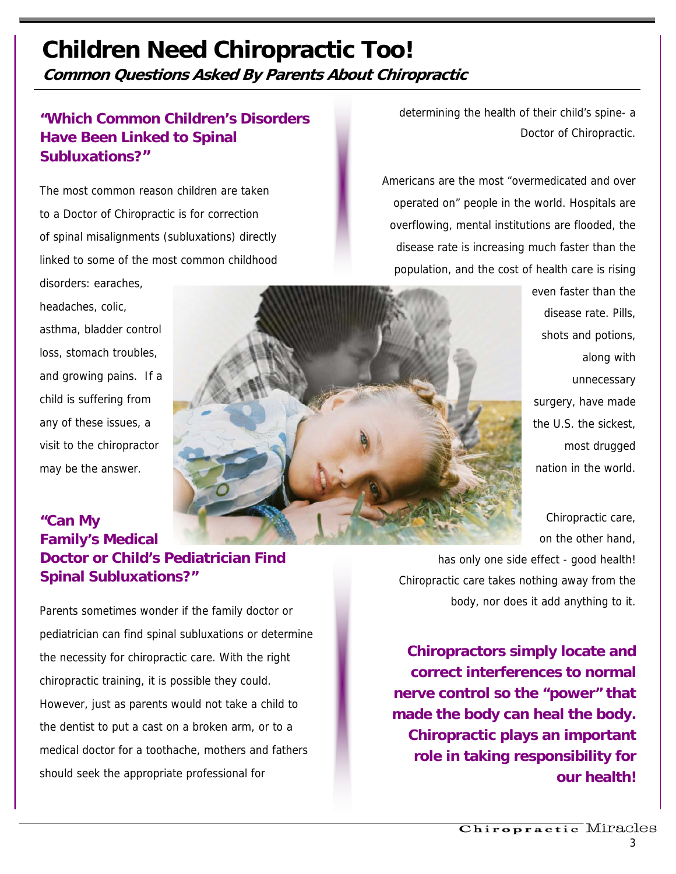## **Children Need Chiropractic Too!**

**Common Questions Asked By Parents About Chiropractic** 

### **"Which Common Children's Disorders Have Been Linked to Spinal Subluxations?"**

The most common reason children are taken to a Doctor of Chiropractic is for correction of spinal misalignments (subluxations) directly linked to some of the most common childhood disorders: earaches,

headaches, colic, asthma, bladder control loss, stomach troubles, and growing pains. If a child is suffering from any of these issues, a visit to the chiropractor may be the answer.

determining the health of their child's spine- a Doctor of Chiropractic.

Americans are the most "overmedicated and over operated on" people in the world. Hospitals are overflowing, mental institutions are flooded, the disease rate is increasing much faster than the population, and the cost of health care is rising

> even faster than the disease rate. Pills, shots and potions, along with unnecessary surgery, have made the U.S. the sickest, most drugged nation in the world.

Chiropractic care, on the other hand,

**"Can My Family's Medical Doctor or Child's Pediatrician Find Spinal Subluxations?"** 

Parents sometimes wonder if the family doctor or pediatrician can find spinal subluxations or determine the necessity for chiropractic care. With the right chiropractic training, it is possible they could. However, just as parents would not take a child to the dentist to put a cast on a broken arm, or to a medical doctor for a toothache, mothers and fathers should seek the appropriate professional for

has only one side effect - good health! Chiropractic care takes nothing away from the body, nor does it add anything to it.

**Chiropractors simply locate and correct interferences to normal nerve control so the "power" that made the body can heal the body. Chiropractic plays an important role in taking responsibility for our health!**